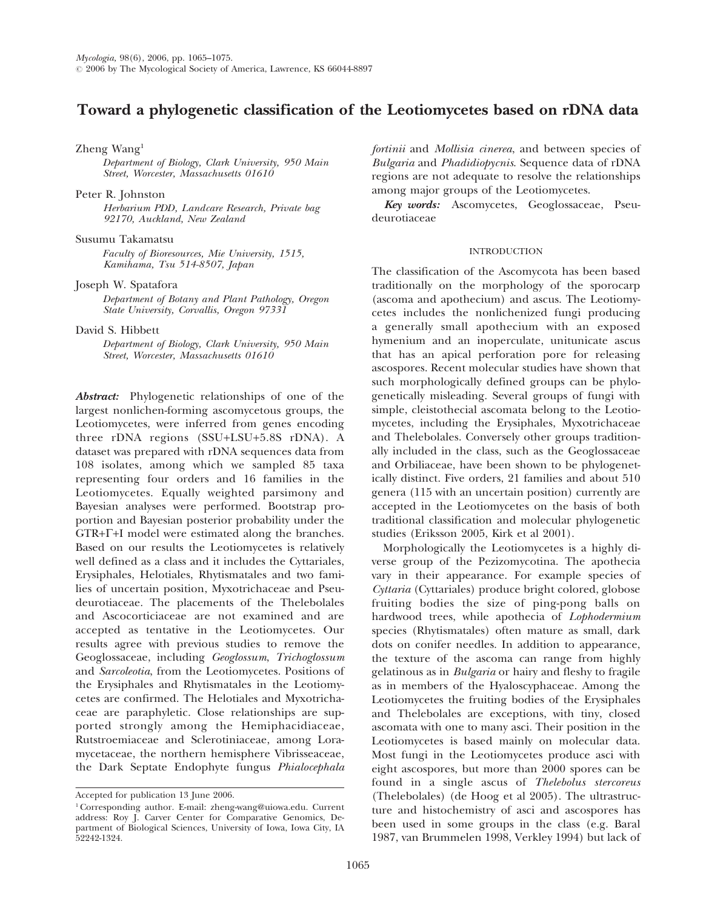# Toward a phylogenetic classification of the Leotiomycetes based on rDNA data

Zheng Wang<sup>1</sup>

Department of Biology, Clark University, 950 Main Street, Worcester, Massachusetts 01610

Peter R. Johnston

Herbarium PDD, Landcare Research, Private bag 92170, Auckland, New Zealand

Susumu Takamatsu

Faculty of Bioresources, Mie University, 1515, Kamihama, Tsu 514-8507, Japan

Joseph W. Spatafora

Department of Botany and Plant Pathology, Oregon State University, Corvallis, Oregon 97331

David S. Hibbett

Department of Biology, Clark University, 950 Main Street, Worcester, Massachusetts 01610

Abstract: Phylogenetic relationships of one of the largest nonlichen-forming ascomycetous groups, the Leotiomycetes, were inferred from genes encoding three rDNA regions (SSU+LSU+5.8S rDNA). A dataset was prepared with rDNA sequences data from 108 isolates, among which we sampled 85 taxa representing four orders and 16 families in the Leotiomycetes. Equally weighted parsimony and Bayesian analyses were performed. Bootstrap proportion and Bayesian posterior probability under the  $GTR+F+I$  model were estimated along the branches. Based on our results the Leotiomycetes is relatively well defined as a class and it includes the Cyttariales, Erysiphales, Helotiales, Rhytismatales and two families of uncertain position, Myxotrichaceae and Pseudeurotiaceae. The placements of the Thelebolales and Ascocorticiaceae are not examined and are accepted as tentative in the Leotiomycetes. Our results agree with previous studies to remove the Geoglossaceae, including Geoglossum, Trichoglossum and Sarcoleotia, from the Leotiomycetes. Positions of the Erysiphales and Rhytismatales in the Leotiomycetes are confirmed. The Helotiales and Myxotrichaceae are paraphyletic. Close relationships are supported strongly among the Hemiphacidiaceae, Rutstroemiaceae and Sclerotiniaceae, among Loramycetaceae, the northern hemisphere Vibrisseaceae, the Dark Septate Endophyte fungus Phialocephala fortinii and Mollisia cinerea, and between species of Bulgaria and Phadidiopycnis. Sequence data of rDNA regions are not adequate to resolve the relationships among major groups of the Leotiomycetes.

Key words: Ascomycetes, Geoglossaceae, Pseudeurotiaceae

## INTRODUCTION

The classification of the Ascomycota has been based traditionally on the morphology of the sporocarp (ascoma and apothecium) and ascus. The Leotiomycetes includes the nonlichenized fungi producing a generally small apothecium with an exposed hymenium and an inoperculate, unitunicate ascus that has an apical perforation pore for releasing ascospores. Recent molecular studies have shown that such morphologically defined groups can be phylogenetically misleading. Several groups of fungi with simple, cleistothecial ascomata belong to the Leotiomycetes, including the Erysiphales, Myxotrichaceae and Thelebolales. Conversely other groups traditionally included in the class, such as the Geoglossaceae and Orbiliaceae, have been shown to be phylogenetically distinct. Five orders, 21 families and about 510 genera (115 with an uncertain position) currently are accepted in the Leotiomycetes on the basis of both traditional classification and molecular phylogenetic studies (Eriksson 2005, Kirk et al 2001).

Morphologically the Leotiomycetes is a highly diverse group of the Pezizomycotina. The apothecia vary in their appearance. For example species of Cyttaria (Cyttariales) produce bright colored, globose fruiting bodies the size of ping-pong balls on hardwood trees, while apothecia of *Lophodermium* species (Rhytismatales) often mature as small, dark dots on conifer needles. In addition to appearance, the texture of the ascoma can range from highly gelatinous as in Bulgaria or hairy and fleshy to fragile as in members of the Hyaloscyphaceae. Among the Leotiomycetes the fruiting bodies of the Erysiphales and Thelebolales are exceptions, with tiny, closed ascomata with one to many asci. Their position in the Leotiomycetes is based mainly on molecular data. Most fungi in the Leotiomycetes produce asci with eight ascospores, but more than 2000 spores can be found in a single ascus of Thelebolus stercoreus (Thelebolales) (de Hoog et al 2005). The ultrastructure and histochemistry of asci and ascospores has been used in some groups in the class (e.g. Baral 1987, van Brummelen 1998, Verkley 1994) but lack of

Accepted for publication 13 June 2006.

 $^{\rm 1}$  Corresponding author. E-mail: zheng-wang@uiowa.edu. Current address: Roy J. Carver Center for Comparative Genomics, Department of Biological Sciences, University of Iowa, Iowa City, IA 52242-1324.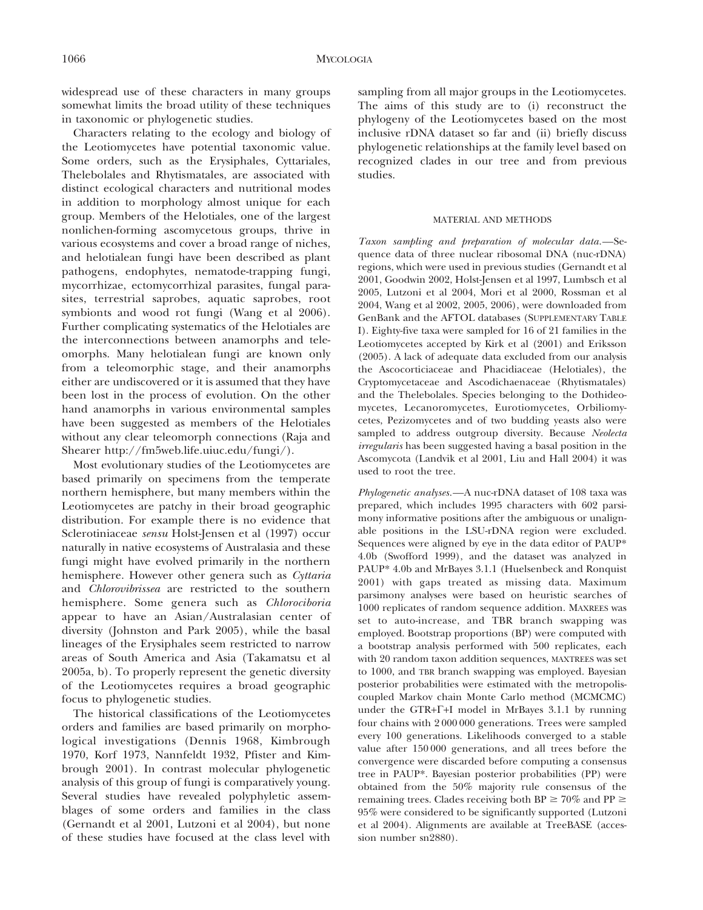widespread use of these characters in many groups somewhat limits the broad utility of these techniques in taxonomic or phylogenetic studies.

Characters relating to the ecology and biology of the Leotiomycetes have potential taxonomic value. Some orders, such as the Erysiphales, Cyttariales, Thelebolales and Rhytismatales, are associated with distinct ecological characters and nutritional modes in addition to morphology almost unique for each group. Members of the Helotiales, one of the largest nonlichen-forming ascomycetous groups, thrive in various ecosystems and cover a broad range of niches, and helotialean fungi have been described as plant pathogens, endophytes, nematode-trapping fungi, mycorrhizae, ectomycorrhizal parasites, fungal parasites, terrestrial saprobes, aquatic saprobes, root symbionts and wood rot fungi (Wang et al 2006). Further complicating systematics of the Helotiales are the interconnections between anamorphs and teleomorphs. Many helotialean fungi are known only from a teleomorphic stage, and their anamorphs either are undiscovered or it is assumed that they have been lost in the process of evolution. On the other hand anamorphs in various environmental samples have been suggested as members of the Helotiales without any clear teleomorph connections (Raja and Shearer http://fm5web.life.uiuc.edu/fungi/).

Most evolutionary studies of the Leotiomycetes are based primarily on specimens from the temperate northern hemisphere, but many members within the Leotiomycetes are patchy in their broad geographic distribution. For example there is no evidence that Sclerotiniaceae sensu Holst-Jensen et al (1997) occur naturally in native ecosystems of Australasia and these fungi might have evolved primarily in the northern hemisphere. However other genera such as Cyttaria and Chlorovibrissea are restricted to the southern hemisphere. Some genera such as Chlorociboria appear to have an Asian/Australasian center of diversity (Johnston and Park 2005), while the basal lineages of the Erysiphales seem restricted to narrow areas of South America and Asia (Takamatsu et al 2005a, b). To properly represent the genetic diversity of the Leotiomycetes requires a broad geographic focus to phylogenetic studies.

The historical classifications of the Leotiomycetes orders and families are based primarily on morphological investigations (Dennis 1968, Kimbrough 1970, Korf 1973, Nannfeldt 1932, Pfister and Kimbrough 2001). In contrast molecular phylogenetic analysis of this group of fungi is comparatively young. Several studies have revealed polyphyletic assemblages of some orders and families in the class (Gernandt et al 2001, Lutzoni et al 2004), but none of these studies have focused at the class level with

sampling from all major groups in the Leotiomycetes. The aims of this study are to (i) reconstruct the phylogeny of the Leotiomycetes based on the most inclusive rDNA dataset so far and (ii) briefly discuss phylogenetic relationships at the family level based on recognized clades in our tree and from previous studies.

## MATERIAL AND METHODS

Taxon sampling and preparation of molecular data.—Sequence data of three nuclear ribosomal DNA (nuc-rDNA) regions, which were used in previous studies (Gernandt et al 2001, Goodwin 2002, Holst-Jensen et al 1997, Lumbsch et al 2005, Lutzoni et al 2004, Mori et al 2000, Rossman et al 2004, Wang et al 2002, 2005, 2006), were downloaded from GenBank and the AFTOL databases (SUPPLEMENTARY TABLE I). Eighty-five taxa were sampled for 16 of 21 families in the Leotiomycetes accepted by Kirk et al (2001) and Eriksson (2005). A lack of adequate data excluded from our analysis the Ascocorticiaceae and Phacidiaceae (Helotiales), the Cryptomycetaceae and Ascodichaenaceae (Rhytismatales) and the Thelebolales. Species belonging to the Dothideomycetes, Lecanoromycetes, Eurotiomycetes, Orbiliomycetes, Pezizomycetes and of two budding yeasts also were sampled to address outgroup diversity. Because Neolecta irregularis has been suggested having a basal position in the Ascomycota (Landvik et al 2001, Liu and Hall 2004) it was used to root the tree.

Phylogenetic analyses.—A nuc-rDNA dataset of 108 taxa was prepared, which includes 1995 characters with 602 parsimony informative positions after the ambiguous or unalignable positions in the LSU-rDNA region were excluded. Sequences were aligned by eye in the data editor of PAUP\* 4.0b (Swofford 1999), and the dataset was analyzed in PAUP\* 4.0b and MrBayes 3.1.1 (Huelsenbeck and Ronquist 2001) with gaps treated as missing data. Maximum parsimony analyses were based on heuristic searches of 1000 replicates of random sequence addition. MAXREES was set to auto-increase, and TBR branch swapping was employed. Bootstrap proportions (BP) were computed with a bootstrap analysis performed with 500 replicates, each with 20 random taxon addition sequences, MAXTREES was set to 1000, and TBR branch swapping was employed. Bayesian posterior probabilities were estimated with the metropoliscoupled Markov chain Monte Carlo method (MCMCMC) under the GTR+ $\Gamma$ +I model in MrBayes 3.1.1 by running four chains with 2 000 000 generations. Trees were sampled every 100 generations. Likelihoods converged to a stable value after 150 000 generations, and all trees before the convergence were discarded before computing a consensus tree in PAUP\*. Bayesian posterior probabilities (PP) were obtained from the 50% majority rule consensus of the remaining trees. Clades receiving both BP  $\geq$  70% and PP  $\geq$ 95% were considered to be significantly supported (Lutzoni et al 2004). Alignments are available at TreeBASE (accession number sn2880).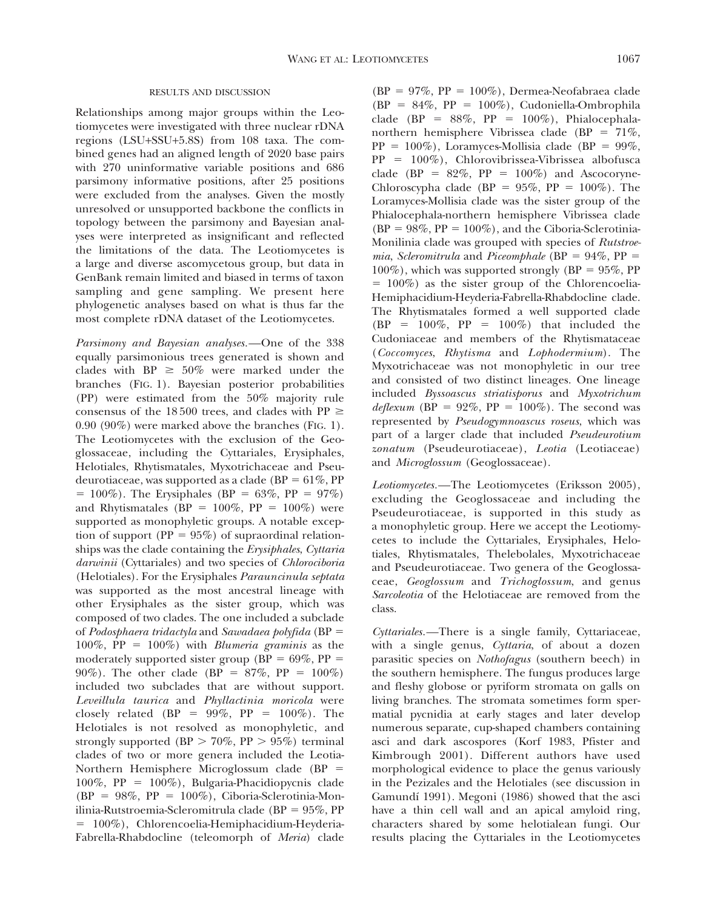## RESULTS AND DISCUSSION

Relationships among major groups within the Leotiomycetes were investigated with three nuclear rDNA regions (LSU+SSU+5.8S) from 108 taxa. The combined genes had an aligned length of 2020 base pairs with 270 uninformative variable positions and 686 parsimony informative positions, after 25 positions were excluded from the analyses. Given the mostly unresolved or unsupported backbone the conflicts in topology between the parsimony and Bayesian analyses were interpreted as insignificant and reflected the limitations of the data. The Leotiomycetes is a large and diverse ascomycetous group, but data in GenBank remain limited and biased in terms of taxon sampling and gene sampling. We present here phylogenetic analyses based on what is thus far the most complete rDNA dataset of the Leotiomycetes.

Parsimony and Bayesian analyses.—One of the 338 equally parsimonious trees generated is shown and clades with BP  $\geq 50\%$  were marked under the branches (FIG. 1). Bayesian posterior probabilities (PP) were estimated from the 50% majority rule consensus of the 18500 trees, and clades with  $PP \ge$ 0.90 (90%) were marked above the branches (FIG. 1). The Leotiomycetes with the exclusion of the Geoglossaceae, including the Cyttariales, Erysiphales, Helotiales, Rhytismatales, Myxotrichaceae and Pseudeurotiaceae, was supported as a clade ( $BP = 61\%$ , PP  $= 100\%$ ). The Erysiphales (BP = 63%, PP = 97%) and Rhytismatales (BP =  $100\%$ , PP =  $100\%$ ) were supported as monophyletic groups. A notable exception of support ( $PP = 95\%$ ) of supraordinal relationships was the clade containing the Erysiphales, Cyttaria darwinii (Cyttariales) and two species of Chlorociboria (Helotiales). For the Erysiphales Parauncinula septata was supported as the most ancestral lineage with other Erysiphales as the sister group, which was composed of two clades. The one included a subclade of Podosphaera tridactyla and Sawadaea polyfida (BP  $=$ 100%, PP =  $100\%$ ) with *Blumeria graminis* as the moderately supported sister group (BP =  $69\%$ , PP = 90%). The other clade (BP =  $87\%$ , PP =  $100\%$ ) included two subclades that are without support. Leveillula taurica and Phyllactinia moricola were closely related (BP =  $99\%$ , PP =  $100\%$ ). The Helotiales is not resolved as monophyletic, and strongly supported (BP  $> 70\%$ , PP  $> 95\%$ ) terminal clades of two or more genera included the Leotia-Northern Hemisphere Microglossum clade (BP  $=$ 100%, PP = 100%), Bulgaria-Phacidiopycnis clade  $(BP = 98\%, PP = 100\%)$ , Ciboria-Sclerotinia-Monilinia-Rutstroemia-Scleromitrula clade (BP =  $95\%$ , PP 5 100%), Chlorencoelia-Hemiphacidium-Heyderia-Fabrella-Rhabdocline (teleomorph of Meria) clade

 $(BP = 97\%, PP = 100\%)$ , Dermea-Neofabraea clade (BP =  $84\%$ , PP =  $100\%$ ), Cudoniella-Ombrophila clade (BP =  $88\%$ , PP =  $100\%$ ), Phialocephalanorthern hemisphere Vibrissea clade (BP =  $71\%$ ,  $PP = 100\%$ ), Loramyces-Mollisia clade (BP = 99%,  $PP = 100\%$ ), Chlorovibrissea-Vibrissea albofusca clade (BP =  $82\%$ , PP =  $100\%$ ) and Ascocoryne-Chloroscypha clade (BP =  $95\%$ , PP =  $100\%$ ). The Loramyces-Mollisia clade was the sister group of the Phialocephala-northern hemisphere Vibrissea clade  $(BP = 98\%, PP = 100\%)$ , and the Ciboria-Sclerotinia-Monilinia clade was grouped with species of Rutstroemia, Scleromitrula and Piceomphale (BP =  $94\%$ , PP = 100%), which was supported strongly (BP =  $95\%$ , PP  $= 100\%$ ) as the sister group of the Chlorencoelia-Hemiphacidium-Heyderia-Fabrella-Rhabdocline clade. The Rhytismatales formed a well supported clade (BP =  $100\%$ , PP =  $100\%$ ) that included the Cudoniaceae and members of the Rhytismataceae (Coccomyces, Rhytisma and Lophodermium). The Myxotrichaceae was not monophyletic in our tree and consisted of two distinct lineages. One lineage included Byssoascus striatisporus and Myxotrichum deflexum (BP =  $92\%$ , PP =  $100\%$ ). The second was represented by Pseudogymnoascus roseus, which was part of a larger clade that included Pseudeurotium zonatum (Pseudeurotiaceae), Leotia (Leotiaceae) and Microglossum (Geoglossaceae).

Leotiomycetes.—The Leotiomycetes (Eriksson 2005), excluding the Geoglossaceae and including the Pseudeurotiaceae, is supported in this study as a monophyletic group. Here we accept the Leotiomycetes to include the Cyttariales, Erysiphales, Helotiales, Rhytismatales, Thelebolales, Myxotrichaceae and Pseudeurotiaceae. Two genera of the Geoglossaceae, Geoglossum and Trichoglossum, and genus Sarcoleotia of the Helotiaceae are removed from the class.

Cyttariales.—There is a single family, Cyttariaceae, with a single genus, Cyttaria, of about a dozen parasitic species on Nothofagus (southern beech) in the southern hemisphere. The fungus produces large and fleshy globose or pyriform stromata on galls on living branches. The stromata sometimes form spermatial pycnidia at early stages and later develop numerous separate, cup-shaped chambers containing asci and dark ascospores (Korf 1983, Pfister and Kimbrough 2001). Different authors have used morphological evidence to place the genus variously in the Pezizales and the Helotiales (see discussion in Gamundí 1991). Megoni (1986) showed that the asci have a thin cell wall and an apical amyloid ring, characters shared by some helotialean fungi. Our results placing the Cyttariales in the Leotiomycetes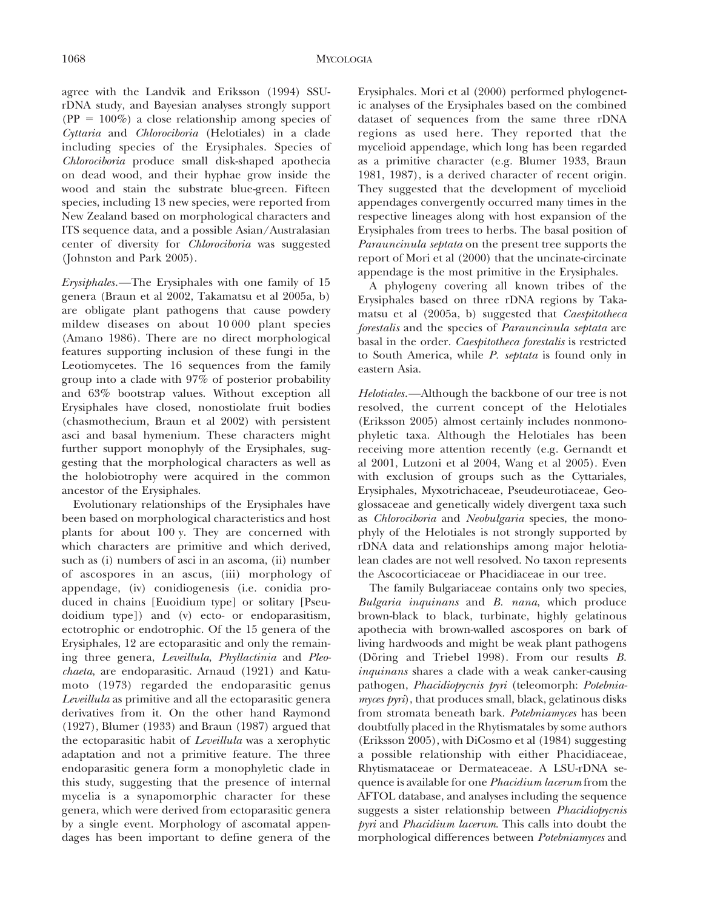agree with the Landvik and Eriksson (1994) SSUrDNA study, and Bayesian analyses strongly support (PP =  $100\%$ ) a close relationship among species of Cyttaria and Chlorociboria (Helotiales) in a clade including species of the Erysiphales. Species of Chlorociboria produce small disk-shaped apothecia on dead wood, and their hyphae grow inside the wood and stain the substrate blue-green. Fifteen species, including 13 new species, were reported from New Zealand based on morphological characters and ITS sequence data, and a possible Asian/Australasian center of diversity for Chlorociboria was suggested (Johnston and Park 2005).

Erysiphales.—The Erysiphales with one family of 15 genera (Braun et al 2002, Takamatsu et al 2005a, b) are obligate plant pathogens that cause powdery mildew diseases on about 10 000 plant species (Amano 1986). There are no direct morphological features supporting inclusion of these fungi in the Leotiomycetes. The 16 sequences from the family group into a clade with 97% of posterior probability and 63% bootstrap values. Without exception all Erysiphales have closed, nonostiolate fruit bodies (chasmothecium, Braun et al 2002) with persistent asci and basal hymenium. These characters might further support monophyly of the Erysiphales, suggesting that the morphological characters as well as the holobiotrophy were acquired in the common ancestor of the Erysiphales.

Evolutionary relationships of the Erysiphales have been based on morphological characteristics and host plants for about 100 y. They are concerned with which characters are primitive and which derived, such as (i) numbers of asci in an ascoma, (ii) number of ascospores in an ascus, (iii) morphology of appendage, (iv) conidiogenesis (i.e. conidia produced in chains [Euoidium type] or solitary [Pseudoidium type]) and (v) ecto- or endoparasitism, ectotrophic or endotrophic. Of the 15 genera of the Erysiphales, 12 are ectoparasitic and only the remaining three genera, Leveillula, Phyllactinia and Pleochaeta, are endoparasitic. Arnaud (1921) and Katumoto (1973) regarded the endoparasitic genus Leveillula as primitive and all the ectoparasitic genera derivatives from it. On the other hand Raymond (1927), Blumer (1933) and Braun (1987) argued that the ectoparasitic habit of Leveillula was a xerophytic adaptation and not a primitive feature. The three endoparasitic genera form a monophyletic clade in this study, suggesting that the presence of internal mycelia is a synapomorphic character for these genera, which were derived from ectoparasitic genera by a single event. Morphology of ascomatal appendages has been important to define genera of the

Erysiphales. Mori et al (2000) performed phylogenetic analyses of the Erysiphales based on the combined dataset of sequences from the same three rDNA regions as used here. They reported that the mycelioid appendage, which long has been regarded as a primitive character (e.g. Blumer 1933, Braun 1981, 1987), is a derived character of recent origin. They suggested that the development of mycelioid appendages convergently occurred many times in the respective lineages along with host expansion of the Erysiphales from trees to herbs. The basal position of Parauncinula septata on the present tree supports the report of Mori et al (2000) that the uncinate-circinate appendage is the most primitive in the Erysiphales.

A phylogeny covering all known tribes of the Erysiphales based on three rDNA regions by Takamatsu et al (2005a, b) suggested that Caespitotheca forestalis and the species of Parauncinula septata are basal in the order. Caespitotheca forestalis is restricted to South America, while P. septata is found only in eastern Asia.

Helotiales.—Although the backbone of our tree is not resolved, the current concept of the Helotiales (Eriksson 2005) almost certainly includes nonmonophyletic taxa. Although the Helotiales has been receiving more attention recently (e.g. Gernandt et al 2001, Lutzoni et al 2004, Wang et al 2005). Even with exclusion of groups such as the Cyttariales, Erysiphales, Myxotrichaceae, Pseudeurotiaceae, Geoglossaceae and genetically widely divergent taxa such as Chlorociboria and Neobulgaria species, the monophyly of the Helotiales is not strongly supported by rDNA data and relationships among major helotialean clades are not well resolved. No taxon represents the Ascocorticiaceae or Phacidiaceae in our tree.

The family Bulgariaceae contains only two species, Bulgaria inquinans and B. nana, which produce brown-black to black, turbinate, highly gelatinous apothecia with brown-walled ascospores on bark of living hardwoods and might be weak plant pathogens (Döring and Triebel 1998). From our results B. inquinans shares a clade with a weak canker-causing pathogen, Phacidiopycnis pyri (teleomorph: Potebnia $m$ yces  $p$ yri), that produces small, black, gelatinous disks from stromata beneath bark. Potebniamyces has been doubtfully placed in the Rhytismatales by some authors (Eriksson 2005), with DiCosmo et al (1984) suggesting a possible relationship with either Phacidiaceae, Rhytismataceae or Dermateaceae. A LSU-rDNA sequence is available for one *Phacidium lacerum* from the AFTOL database, and analyses including the sequence suggests a sister relationship between Phacidiopycnis pyri and Phacidium lacerum. This calls into doubt the morphological differences between Potebniamyces and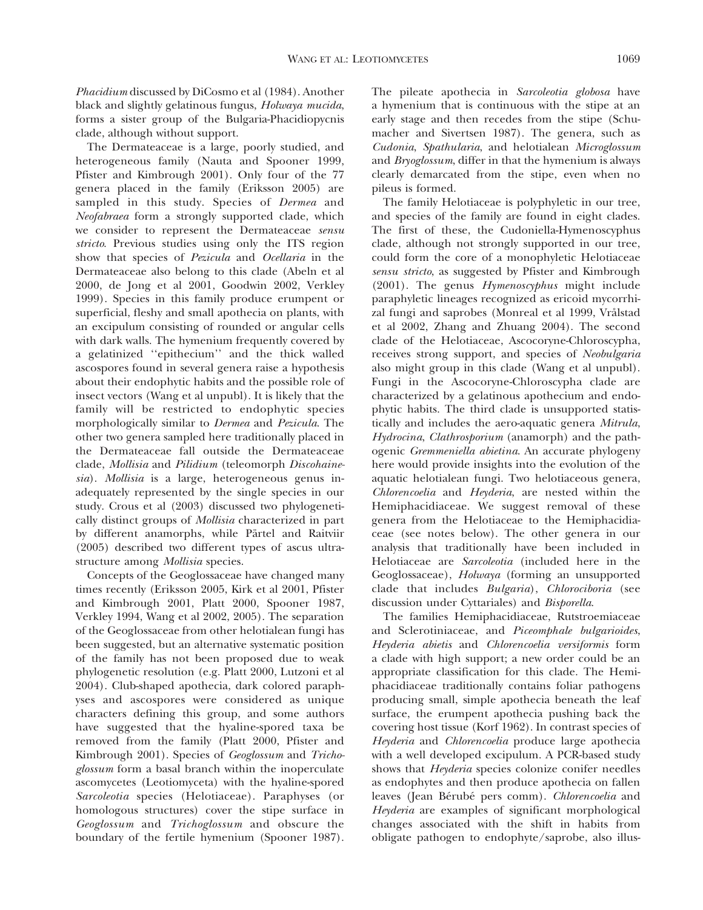Phacidium discussed by DiCosmo et al (1984). Another black and slightly gelatinous fungus, Holwaya mucida, forms a sister group of the Bulgaria-Phacidiopycnis clade, although without support.

The Dermateaceae is a large, poorly studied, and heterogeneous family (Nauta and Spooner 1999, Pfister and Kimbrough 2001). Only four of the 77 genera placed in the family (Eriksson 2005) are sampled in this study. Species of Dermea and Neofabraea form a strongly supported clade, which we consider to represent the Dermateaceae sensu stricto. Previous studies using only the ITS region show that species of Pezicula and Ocellaria in the Dermateaceae also belong to this clade (Abeln et al 2000, de Jong et al 2001, Goodwin 2002, Verkley 1999). Species in this family produce erumpent or superficial, fleshy and small apothecia on plants, with an excipulum consisting of rounded or angular cells with dark walls. The hymenium frequently covered by a gelatinized ''epithecium'' and the thick walled ascospores found in several genera raise a hypothesis about their endophytic habits and the possible role of insect vectors (Wang et al unpubl). It is likely that the family will be restricted to endophytic species morphologically similar to Dermea and Pezicula. The other two genera sampled here traditionally placed in the Dermateaceae fall outside the Dermateaceae clade, Mollisia and Pilidium (teleomorph Discohainesia). Mollisia is a large, heterogeneous genus inadequately represented by the single species in our study. Crous et al (2003) discussed two phylogenetically distinct groups of Mollisia characterized in part by different anamorphs, while Pärtel and Raitviir (2005) described two different types of ascus ultrastructure among Mollisia species.

Concepts of the Geoglossaceae have changed many times recently (Eriksson 2005, Kirk et al 2001, Pfister and Kimbrough 2001, Platt 2000, Spooner 1987, Verkley 1994, Wang et al 2002, 2005). The separation of the Geoglossaceae from other helotialean fungi has been suggested, but an alternative systematic position of the family has not been proposed due to weak phylogenetic resolution (e.g. Platt 2000, Lutzoni et al 2004). Club-shaped apothecia, dark colored paraphyses and ascospores were considered as unique characters defining this group, and some authors have suggested that the hyaline-spored taxa be removed from the family (Platt 2000, Pfister and Kimbrough 2001). Species of Geoglossum and Trichoglossum form a basal branch within the inoperculate ascomycetes (Leotiomyceta) with the hyaline-spored Sarcoleotia species (Helotiaceae). Paraphyses (or homologous structures) cover the stipe surface in Geoglossum and Trichoglossum and obscure the boundary of the fertile hymenium (Spooner 1987). The pileate apothecia in Sarcoleotia globosa have a hymenium that is continuous with the stipe at an early stage and then recedes from the stipe (Schumacher and Sivertsen 1987). The genera, such as Cudonia, Spathularia, and helotialean Microglossum and Bryoglossum, differ in that the hymenium is always clearly demarcated from the stipe, even when no pileus is formed.

The family Helotiaceae is polyphyletic in our tree, and species of the family are found in eight clades. The first of these, the Cudoniella-Hymenoscyphus clade, although not strongly supported in our tree, could form the core of a monophyletic Helotiaceae sensu stricto, as suggested by Pfister and Kimbrough (2001). The genus Hymenoscyphus might include paraphyletic lineages recognized as ericoid mycorrhizal fungi and saprobes (Monreal et al 1999, Vrålstad et al 2002, Zhang and Zhuang 2004). The second clade of the Helotiaceae, Ascocoryne-Chloroscypha, receives strong support, and species of Neobulgaria also might group in this clade (Wang et al unpubl). Fungi in the Ascocoryne-Chloroscypha clade are characterized by a gelatinous apothecium and endophytic habits. The third clade is unsupported statistically and includes the aero-aquatic genera Mitrula, Hydrocina, Clathrosporium (anamorph) and the pathogenic Gremmeniella abietina. An accurate phylogeny here would provide insights into the evolution of the aquatic helotialean fungi. Two helotiaceous genera, Chlorencoelia and Heyderia, are nested within the Hemiphacidiaceae. We suggest removal of these genera from the Helotiaceae to the Hemiphacidiaceae (see notes below). The other genera in our analysis that traditionally have been included in Helotiaceae are Sarcoleotia (included here in the Geoglossaceae), Holwaya (forming an unsupported clade that includes Bulgaria), Chlorociboria (see discussion under Cyttariales) and Bisporella.

The families Hemiphacidiaceae, Rutstroemiaceae and Sclerotiniaceae, and Piceomphale bulgarioides, Heyderia abietis and Chlorencoelia versiformis form a clade with high support; a new order could be an appropriate classification for this clade. The Hemiphacidiaceae traditionally contains foliar pathogens producing small, simple apothecia beneath the leaf surface, the erumpent apothecia pushing back the covering host tissue (Korf 1962). In contrast species of Heyderia and Chlorencoelia produce large apothecia with a well developed excipulum. A PCR-based study shows that Heyderia species colonize conifer needles as endophytes and then produce apothecia on fallen leaves (Jean Bérubé pers comm). Chlorencoelia and Heyderia are examples of significant morphological changes associated with the shift in habits from obligate pathogen to endophyte/saprobe, also illus-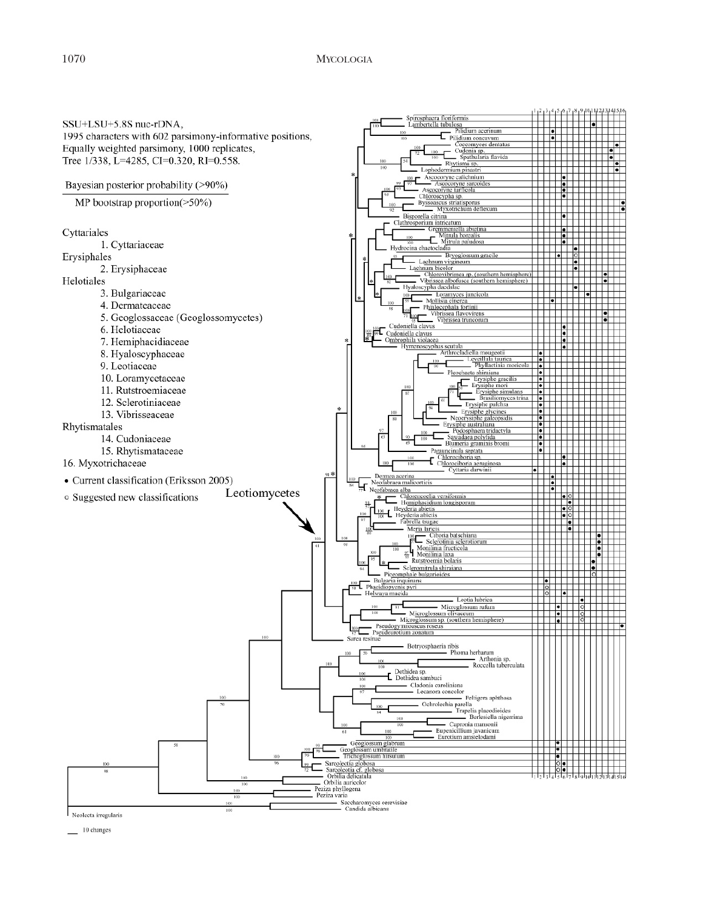## 1070 MYCOLOGIA





 $\frac{10}{2}$  10 changes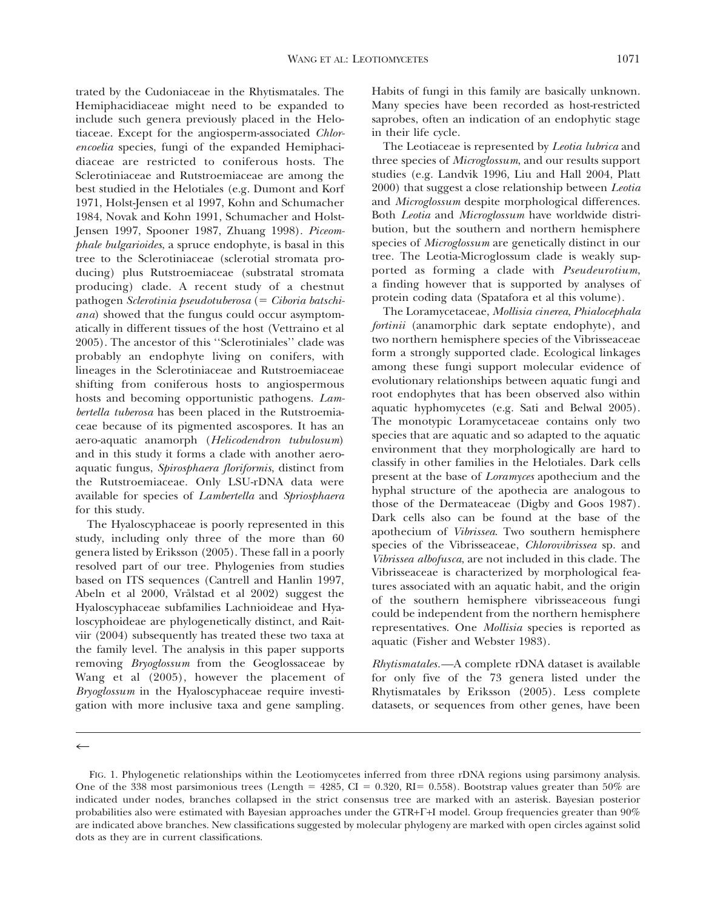trated by the Cudoniaceae in the Rhytismatales. The Hemiphacidiaceae might need to be expanded to include such genera previously placed in the Helotiaceae. Except for the angiosperm-associated Chlorencoelia species, fungi of the expanded Hemiphacidiaceae are restricted to coniferous hosts. The Sclerotiniaceae and Rutstroemiaceae are among the best studied in the Helotiales (e.g. Dumont and Korf 1971, Holst-Jensen et al 1997, Kohn and Schumacher 1984, Novak and Kohn 1991, Schumacher and Holst-Jensen 1997, Spooner 1987, Zhuang 1998). Piceomphale bulgarioides, a spruce endophyte, is basal in this tree to the Sclerotiniaceae (sclerotial stromata producing) plus Rutstroemiaceae (substratal stromata producing) clade. A recent study of a chestnut pathogen Sclerotinia pseudotuberosa (= Ciboria batschiana) showed that the fungus could occur asymptomatically in different tissues of the host (Vettraino et al 2005). The ancestor of this ''Sclerotiniales'' clade was probably an endophyte living on conifers, with lineages in the Sclerotiniaceae and Rutstroemiaceae shifting from coniferous hosts to angiospermous hosts and becoming opportunistic pathogens. Lambertella tuberosa has been placed in the Rutstroemiaceae because of its pigmented ascospores. It has an aero-aquatic anamorph (Helicodendron tubulosum) and in this study it forms a clade with another aeroaquatic fungus, Spirosphaera floriformis, distinct from the Rutstroemiaceae. Only LSU-rDNA data were available for species of Lambertella and Spriosphaera for this study.

The Hyaloscyphaceae is poorly represented in this study, including only three of the more than 60 genera listed by Eriksson (2005). These fall in a poorly resolved part of our tree. Phylogenies from studies based on ITS sequences (Cantrell and Hanlin 1997, Abeln et al 2000, Vrålstad et al 2002) suggest the Hyaloscyphaceae subfamilies Lachnioideae and Hyaloscyphoideae are phylogenetically distinct, and Raitviir (2004) subsequently has treated these two taxa at the family level. The analysis in this paper supports removing Bryoglossum from the Geoglossaceae by Wang et al (2005), however the placement of Bryoglossum in the Hyaloscyphaceae require investigation with more inclusive taxa and gene sampling.

Habits of fungi in this family are basically unknown. Many species have been recorded as host-restricted saprobes, often an indication of an endophytic stage in their life cycle.

The Leotiaceae is represented by Leotia lubrica and three species of *Microglossum*, and our results support studies (e.g. Landvik 1996, Liu and Hall 2004, Platt 2000) that suggest a close relationship between Leotia and Microglossum despite morphological differences. Both Leotia and Microglossum have worldwide distribution, but the southern and northern hemisphere species of Microglossum are genetically distinct in our tree. The Leotia-Microglossum clade is weakly supported as forming a clade with Pseudeurotium, a finding however that is supported by analyses of protein coding data (Spatafora et al this volume).

The Loramycetaceae, Mollisia cinerea, Phialocephala fortinii (anamorphic dark septate endophyte), and two northern hemisphere species of the Vibrisseaceae form a strongly supported clade. Ecological linkages among these fungi support molecular evidence of evolutionary relationships between aquatic fungi and root endophytes that has been observed also within aquatic hyphomycetes (e.g. Sati and Belwal 2005). The monotypic Loramycetaceae contains only two species that are aquatic and so adapted to the aquatic environment that they morphologically are hard to classify in other families in the Helotiales. Dark cells present at the base of Loramyces apothecium and the hyphal structure of the apothecia are analogous to those of the Dermateaceae (Digby and Goos 1987). Dark cells also can be found at the base of the apothecium of Vibrissea. Two southern hemisphere species of the Vibrisseaceae, Chlorovibrissea sp. and Vibrissea albofusca, are not included in this clade. The Vibrisseaceae is characterized by morphological features associated with an aquatic habit, and the origin of the southern hemisphere vibrisseaceous fungi could be independent from the northern hemisphere representatives. One Mollisia species is reported as aquatic (Fisher and Webster 1983).

Rhytismatales.—A complete rDNA dataset is available for only five of the 73 genera listed under the Rhytismatales by Eriksson (2005). Less complete datasets, or sequences from other genes, have been

 $\leftarrow$ 

FIG. 1. Phylogenetic relationships within the Leotiomycetes inferred from three rDNA regions using parsimony analysis. One of the 338 most parsimonious trees (Length = 4285, CI = 0.320, RI= 0.558). Bootstrap values greater than 50% are indicated under nodes, branches collapsed in the strict consensus tree are marked with an asterisk. Bayesian posterior probabilities also were estimated with Bayesian approaches under the GTR+ $\Gamma$ +I model. Group frequencies greater than 90% are indicated above branches. New classifications suggested by molecular phylogeny are marked with open circles against solid dots as they are in current classifications.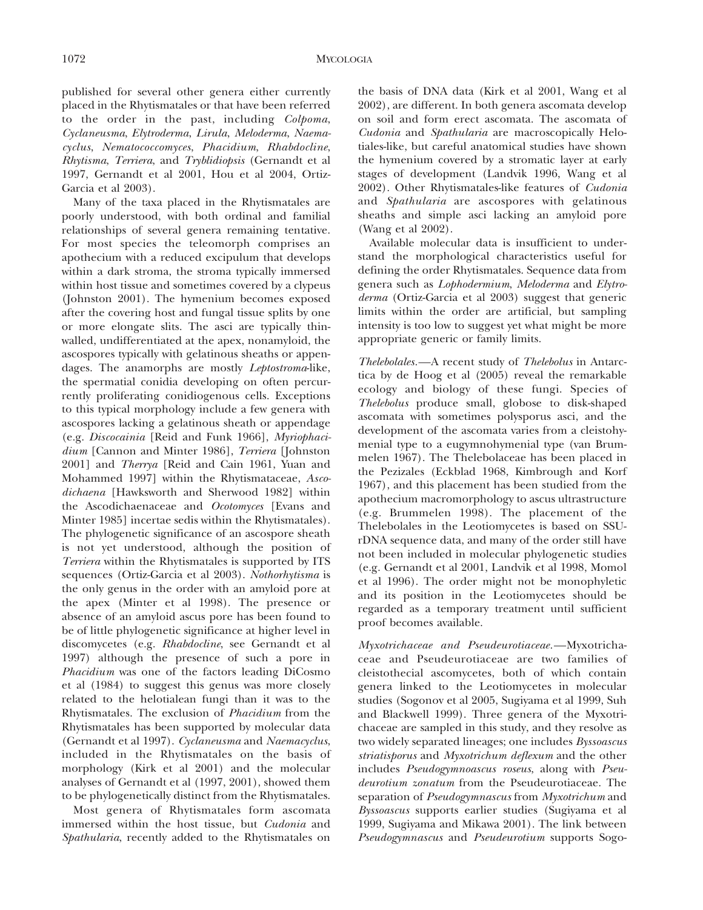published for several other genera either currently placed in the Rhytismatales or that have been referred to the order in the past, including Colpoma, Cyclaneusma, Elytroderma, Lirula, Meloderma, Naemacyclus, Nematococcomyces, Phacidium, Rhabdocline, Rhytisma, Terriera, and Tryblidiopsis (Gernandt et al 1997, Gernandt et al 2001, Hou et al 2004, Ortiz-Garcia et al 2003).

Many of the taxa placed in the Rhytismatales are poorly understood, with both ordinal and familial relationships of several genera remaining tentative. For most species the teleomorph comprises an apothecium with a reduced excipulum that develops within a dark stroma, the stroma typically immersed within host tissue and sometimes covered by a clypeus (Johnston 2001). The hymenium becomes exposed after the covering host and fungal tissue splits by one or more elongate slits. The asci are typically thinwalled, undifferentiated at the apex, nonamyloid, the ascospores typically with gelatinous sheaths or appendages. The anamorphs are mostly Leptostroma-like, the spermatial conidia developing on often percurrently proliferating conidiogenous cells. Exceptions to this typical morphology include a few genera with ascospores lacking a gelatinous sheath or appendage (e.g. Discocainia [Reid and Funk 1966], Myriophacidium [Cannon and Minter 1986], Terriera [Johnston 2001] and Therrya [Reid and Cain 1961, Yuan and Mohammed 1997] within the Rhytismataceae, Ascodichaena [Hawksworth and Sherwood 1982] within the Ascodichaenaceae and Ocotomyces [Evans and Minter 1985] incertae sedis within the Rhytismatales). The phylogenetic significance of an ascospore sheath is not yet understood, although the position of Terriera within the Rhytismatales is supported by ITS sequences (Ortiz-Garcia et al 2003). Nothorhytisma is the only genus in the order with an amyloid pore at the apex (Minter et al 1998). The presence or absence of an amyloid ascus pore has been found to be of little phylogenetic significance at higher level in discomycetes (e.g. Rhabdocline, see Gernandt et al 1997) although the presence of such a pore in Phacidium was one of the factors leading DiCosmo et al (1984) to suggest this genus was more closely related to the helotialean fungi than it was to the Rhytismatales. The exclusion of Phacidium from the Rhytismatales has been supported by molecular data (Gernandt et al 1997). Cyclaneusma and Naemacyclus, included in the Rhytismatales on the basis of morphology (Kirk et al 2001) and the molecular analyses of Gernandt et al (1997, 2001), showed them to be phylogenetically distinct from the Rhytismatales.

Most genera of Rhytismatales form ascomata immersed within the host tissue, but Cudonia and Spathularia, recently added to the Rhytismatales on

the basis of DNA data (Kirk et al 2001, Wang et al 2002), are different. In both genera ascomata develop on soil and form erect ascomata. The ascomata of Cudonia and Spathularia are macroscopically Helotiales-like, but careful anatomical studies have shown the hymenium covered by a stromatic layer at early stages of development (Landvik 1996, Wang et al 2002). Other Rhytismatales-like features of Cudonia and Spathularia are ascospores with gelatinous sheaths and simple asci lacking an amyloid pore (Wang et al 2002).

Available molecular data is insufficient to understand the morphological characteristics useful for defining the order Rhytismatales. Sequence data from genera such as Lophodermium, Meloderma and Elytroderma (Ortiz-Garcia et al 2003) suggest that generic limits within the order are artificial, but sampling intensity is too low to suggest yet what might be more appropriate generic or family limits.

Thelebolales.—A recent study of Thelebolus in Antarctica by de Hoog et al (2005) reveal the remarkable ecology and biology of these fungi. Species of Thelebolus produce small, globose to disk-shaped ascomata with sometimes polysporus asci, and the development of the ascomata varies from a cleistohymenial type to a eugymnohymenial type (van Brummelen 1967). The Thelebolaceae has been placed in the Pezizales (Eckblad 1968, Kimbrough and Korf 1967), and this placement has been studied from the apothecium macromorphology to ascus ultrastructure (e.g. Brummelen 1998). The placement of the Thelebolales in the Leotiomycetes is based on SSUrDNA sequence data, and many of the order still have not been included in molecular phylogenetic studies (e.g. Gernandt et al 2001, Landvik et al 1998, Momol et al 1996). The order might not be monophyletic and its position in the Leotiomycetes should be regarded as a temporary treatment until sufficient proof becomes available.

Myxotrichaceae and Pseudeurotiaceae.—Myxotrichaceae and Pseudeurotiaceae are two families of cleistothecial ascomycetes, both of which contain genera linked to the Leotiomycetes in molecular studies (Sogonov et al 2005, Sugiyama et al 1999, Suh and Blackwell 1999). Three genera of the Myxotrichaceae are sampled in this study, and they resolve as two widely separated lineages; one includes Byssoascus striatisporus and Myxotrichum deflexum and the other includes Pseudogymnoascus roseus, along with Pseudeurotium zonatum from the Pseudeurotiaceae. The separation of Pseudogymnascus from Myxotrichum and Byssoascus supports earlier studies (Sugiyama et al 1999, Sugiyama and Mikawa 2001). The link between Pseudogymnascus and Pseudeurotium supports Sogo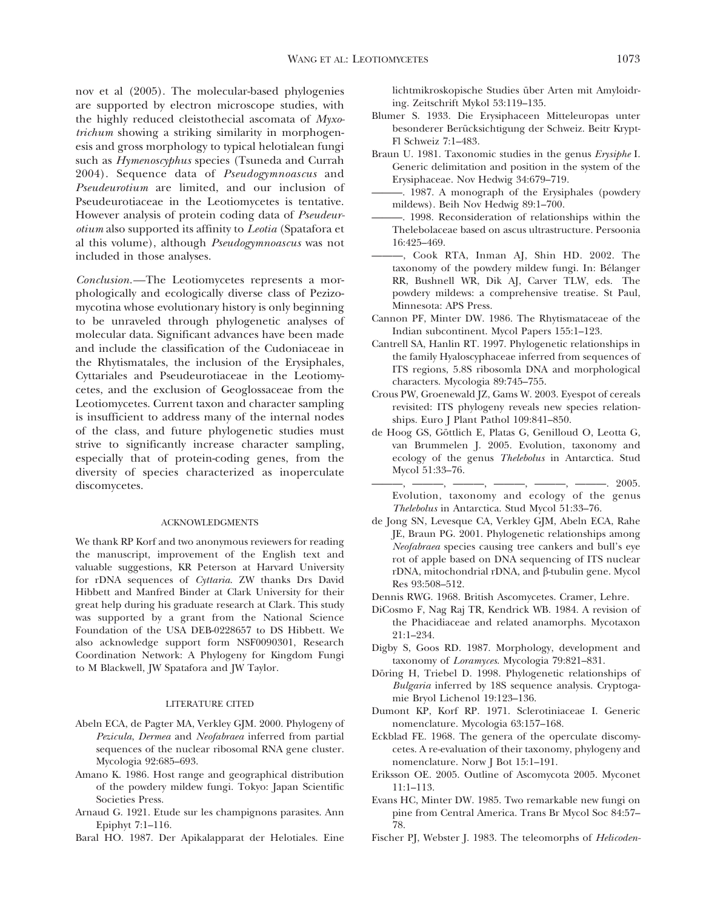nov et al (2005). The molecular-based phylogenies are supported by electron microscope studies, with the highly reduced cleistothecial ascomata of Myxotrichum showing a striking similarity in morphogenesis and gross morphology to typical helotialean fungi such as Hymenoscyphus species (Tsuneda and Currah 2004). Sequence data of Pseudogymnoascus and Pseudeurotium are limited, and our inclusion of Pseudeurotiaceae in the Leotiomycetes is tentative. However analysis of protein coding data of Pseudeurotium also supported its affinity to Leotia (Spatafora et al this volume), although Pseudogymnoascus was not included in those analyses.

Conclusion.—The Leotiomycetes represents a morphologically and ecologically diverse class of Pezizomycotina whose evolutionary history is only beginning to be unraveled through phylogenetic analyses of molecular data. Significant advances have been made and include the classification of the Cudoniaceae in the Rhytismatales, the inclusion of the Erysiphales, Cyttariales and Pseudeurotiaceae in the Leotiomycetes, and the exclusion of Geoglossaceae from the Leotiomycetes. Current taxon and character sampling is insufficient to address many of the internal nodes of the class, and future phylogenetic studies must strive to significantly increase character sampling, especially that of protein-coding genes, from the diversity of species characterized as inoperculate discomycetes.

## ACKNOWLEDGMENTS

We thank RP Korf and two anonymous reviewers for reading the manuscript, improvement of the English text and valuable suggestions, KR Peterson at Harvard University for rDNA sequences of Cyttaria. ZW thanks Drs David Hibbett and Manfred Binder at Clark University for their great help during his graduate research at Clark. This study was supported by a grant from the National Science Foundation of the USA DEB-0228657 to DS Hibbett. We also acknowledge support form NSF0090301, Research Coordination Network: A Phylogeny for Kingdom Fungi to M Blackwell, JW Spatafora and JW Taylor.

## LITERATURE CITED

- Abeln ECA, de Pagter MA, Verkley GJM. 2000. Phylogeny of Pezicula, Dermea and Neofabraea inferred from partial sequences of the nuclear ribosomal RNA gene cluster. Mycologia 92:685–693.
- Amano K. 1986. Host range and geographical distribution of the powdery mildew fungi. Tokyo: Japan Scientific Societies Press.
- Arnaud G. 1921. Etude sur les champignons parasites. Ann Epiphyt 7:1–116.
- Baral HO. 1987. Der Apikalapparat der Helotiales. Eine

lichtmikroskopische Studies über Arten mit Amyloidring. Zeitschrift Mykol 53:119–135.

- Blumer S. 1933. Die Erysiphaceen Mitteleuropas unter besonderer Berücksichtigung der Schweiz. Beitr Krypt-Fl Schweiz 7:1–483.
- Braun U. 1981. Taxonomic studies in the genus Erysiphe I. Generic delimitation and position in the system of the Erysiphaceae. Nov Hedwig 34:679–719.
- ———. 1987. A monograph of the Erysiphales (powdery mildews). Beih Nov Hedwig 89:1–700.
- ———. 1998. Reconsideration of relationships within the Thelebolaceae based on ascus ultrastructure. Persoonia 16:425–469.
- ———, Cook RTA, Inman AJ, Shin HD. 2002. The taxonomy of the powdery mildew fungi. In: Bélanger RR, Bushnell WR, Dik AJ, Carver TLW, eds. The powdery mildews: a comprehensive treatise. St Paul, Minnesota: APS Press.
- Cannon PF, Minter DW. 1986. The Rhytismataceae of the Indian subcontinent. Mycol Papers 155:1–123.
- Cantrell SA, Hanlin RT. 1997. Phylogenetic relationships in the family Hyaloscyphaceae inferred from sequences of ITS regions, 5.8S ribosomla DNA and morphological characters. Mycologia 89:745–755.
- Crous PW, Groenewald JZ, Gams W. 2003. Eyespot of cereals revisited: ITS phylogeny reveals new species relationships. Euro J Plant Pathol 109:841–850.
- de Hoog GS, Göttlich E, Platas G, Genilloud O, Leotta G, van Brummelen J. 2005. Evolution, taxonomy and ecology of the genus Thelebolus in Antarctica. Stud Mycol 51:33–76.
	- —, ————, ———, ————. 2005. Evolution, taxonomy and ecology of the genus Thelebolus in Antarctica. Stud Mycol 51:33–76.
- de Jong SN, Levesque CA, Verkley GJM, Abeln ECA, Rahe JE, Braun PG. 2001. Phylogenetic relationships among Neofabraea species causing tree cankers and bull's eye rot of apple based on DNA sequencing of ITS nuclear rDNA, mitochondrial rDNA, and β-tubulin gene. Mycol Res 93:508–512.
- Dennis RWG. 1968. British Ascomycetes. Cramer, Lehre.
- DiCosmo F, Nag Raj TR, Kendrick WB. 1984. A revision of the Phacidiaceae and related anamorphs. Mycotaxon 21:1–234.
- Digby S, Goos RD. 1987. Morphology, development and taxonomy of Loramyces. Mycologia 79:821–831.
- Döring H, Triebel D. 1998. Phylogenetic relationships of Bulgaria inferred by 18S sequence analysis. Cryptogamie Bryol Lichenol 19:123–136.
- Dumont KP, Korf RP. 1971. Sclerotiniaceae I. Generic nomenclature. Mycologia 63:157–168.
- Eckblad FE. 1968. The genera of the operculate discomycetes. A re-evaluation of their taxonomy, phylogeny and nomenclature. Norw J Bot 15:1–191.
- Eriksson OE. 2005. Outline of Ascomycota 2005. Myconet 11:1–113.
- Evans HC, Minter DW. 1985. Two remarkable new fungi on pine from Central America. Trans Br Mycol Soc 84:57– 78.
- Fischer PJ, Webster J. 1983. The teleomorphs of *Helicoden*-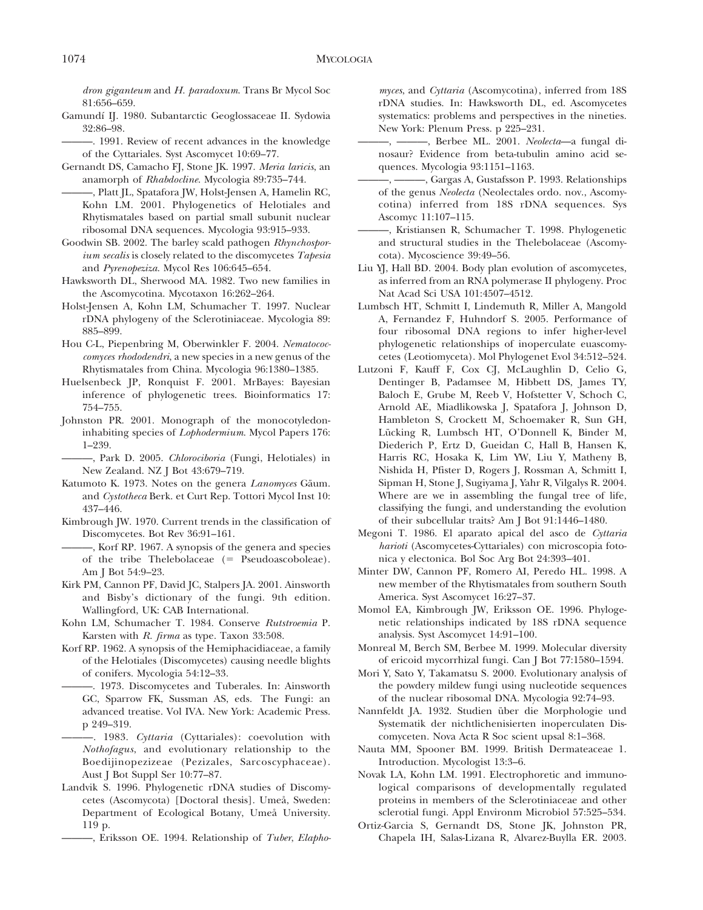dron giganteum and H. paradoxum. Trans Br Mycol Soc 81:656–659.

Gamundı´ IJ. 1980. Subantarctic Geoglossaceae II. Sydowia 32:86–98.

———. 1991. Review of recent advances in the knowledge of the Cyttariales. Syst Ascomycet 10:69–77.

- Gernandt DS, Camacho FJ, Stone JK. 1997. Meria laricis, an anamorph of Rhabdocline. Mycologia 89:735–744.
- ———, Platt JL, Spatafora JW, Holst-Jensen A, Hamelin RC, Kohn LM. 2001. Phylogenetics of Helotiales and Rhytismatales based on partial small subunit nuclear ribosomal DNA sequences. Mycologia 93:915–933.
- Goodwin SB. 2002. The barley scald pathogen Rhynchosporium secalis is closely related to the discomycetes Tapesia and Pyrenopeziza. Mycol Res 106:645–654.
- Hawksworth DL, Sherwood MA. 1982. Two new families in the Ascomycotina. Mycotaxon 16:262–264.
- Holst-Jensen A, Kohn LM, Schumacher T. 1997. Nuclear rDNA phylogeny of the Sclerotiniaceae. Mycologia 89: 885–899.
- Hou C-L, Piepenbring M, Oberwinkler F. 2004. Nematococcomyces rhododendri, a new species in a new genus of the Rhytismatales from China. Mycologia 96:1380–1385.
- Huelsenbeck JP, Ronquist F. 2001. MrBayes: Bayesian inference of phylogenetic trees. Bioinformatics 17: 754–755.
- Johnston PR. 2001. Monograph of the monocotyledoninhabiting species of Lophodermium. Mycol Papers 176: 1–239.
- -, Park D. 2005. Chlorociboria (Fungi, Helotiales) in New Zealand. NZ J Bot 43:679–719.
- Katumoto K. 1973. Notes on the genera Lanomyces Gäum. and Cystotheca Berk. et Curt Rep. Tottori Mycol Inst 10: 437–446.
- Kimbrough JW. 1970. Current trends in the classification of Discomycetes. Bot Rev 36:91–161.
	- ———, Korf RP. 1967. A synopsis of the genera and species of the tribe Thelebolaceae  $(=$  Pseudoascoboleae). Am J Bot 54:9–23.
- Kirk PM, Cannon PF, David JC, Stalpers JA. 2001. Ainsworth and Bisby's dictionary of the fungi. 9th edition. Wallingford, UK: CAB International.
- Kohn LM, Schumacher T. 1984. Conserve Rutstroemia P. Karsten with *R. firma* as type. Taxon 33:508.
- Korf RP. 1962. A synopsis of the Hemiphacidiaceae, a family of the Helotiales (Discomycetes) causing needle blights of conifers. Mycologia 54:12–33.
	- ———. 1973. Discomycetes and Tuberales. In: Ainsworth GC, Sparrow FK, Sussman AS, eds. The Fungi: an advanced treatise. Vol IVA. New York: Academic Press. p 249–319.
		- ———. 1983. Cyttaria (Cyttariales): coevolution with Nothofagus, and evolutionary relationship to the Boedijinopezizeae (Pezizales, Sarcoscyphaceae). Aust J Bot Suppl Ser 10:77–87.
- Landvik S. 1996. Phylogenetic rDNA studies of Discomycetes (Ascomycota) [Doctoral thesis]. Umeå, Sweden: Department of Ecological Botany, Umeå University. 119 p.
	- ———, Eriksson OE. 1994. Relationship of Tuber, Elapho-

myces, and Cyttaria (Ascomycotina), inferred from 18S rDNA studies. In: Hawksworth DL, ed. Ascomycetes systematics: problems and perspectives in the nineties. New York: Plenum Press. p 225–231.

- —, ———, Berbee ML. 2001. Neolecta—a fungal dinosaur? Evidence from beta-tubulin amino acid sequences. Mycologia 93:1151–1163.
- ———, ———, Gargas A, Gustafsson P. 1993. Relationships of the genus Neolecta (Neolectales ordo. nov., Ascomycotina) inferred from 18S rDNA sequences. Sys Ascomyc 11:107–115.
- ———, Kristiansen R, Schumacher T. 1998. Phylogenetic and structural studies in the Thelebolaceae (Ascomycota). Mycoscience 39:49–56.
- Liu YJ, Hall BD. 2004. Body plan evolution of ascomycetes, as inferred from an RNA polymerase II phylogeny. Proc Nat Acad Sci USA 101:4507–4512.
- Lumbsch HT, Schmitt I, Lindemuth R, Miller A, Mangold A, Fernandez F, Huhndorf S. 2005. Performance of four ribosomal DNA regions to infer higher-level phylogenetic relationships of inoperculate euascomycetes (Leotiomyceta). Mol Phylogenet Evol 34:512–524.
- Lutzoni F, Kauff F, Cox CJ, McLaughlin D, Celio G, Dentinger B, Padamsee M, Hibbett DS, James TY, Baloch E, Grube M, Reeb V, Hofstetter V, Schoch C, Arnold AE, Miadlikowska J, Spatafora J, Johnson D, Hambleton S, Crockett M, Schoemaker R, Sun GH, Lücking R, Lumbsch HT, O'Donnell K, Binder M, Diederich P, Ertz D, Gueidan C, Hall B, Hansen K, Harris RC, Hosaka K, Lim YW, Liu Y, Matheny B, Nishida H, Pfister D, Rogers J, Rossman A, Schmitt I, Sipman H, Stone J, Sugiyama J, Yahr R, Vilgalys R. 2004. Where are we in assembling the fungal tree of life, classifying the fungi, and understanding the evolution of their subcellular traits? Am J Bot 91:1446–1480.
- Megoni T. 1986. El aparato apical del asco de Cyttaria harioti (Ascomycetes-Cyttariales) con microscopia fotonica y electonica. Bol Soc Arg Bot 24:393–401.
- Minter DW, Cannon PF, Romero AI, Peredo HL. 1998. A new member of the Rhytismatales from southern South America. Syst Ascomycet 16:27–37.
- Momol EA, Kimbrough JW, Eriksson OE. 1996. Phylogenetic relationships indicated by 18S rDNA sequence analysis. Syst Ascomycet 14:91–100.
- Monreal M, Berch SM, Berbee M. 1999. Molecular diversity of ericoid mycorrhizal fungi. Can J Bot 77:1580–1594.
- Mori Y, Sato Y, Takamatsu S. 2000. Evolutionary analysis of the powdery mildew fungi using nucleotide sequences of the nuclear ribosomal DNA. Mycologia 92:74–93.
- Nannfeldt JA. 1932. Studien über die Morphologie und Systematik der nichtlichenisierten inoperculaten Discomyceten. Nova Acta R Soc scient upsal 8:1–368.
- Nauta MM, Spooner BM. 1999. British Dermateaceae 1. Introduction. Mycologist 13:3–6.
- Novak LA, Kohn LM. 1991. Electrophoretic and immunological comparisons of developmentally regulated proteins in members of the Sclerotiniaceae and other sclerotial fungi. Appl Environm Microbiol 57:525–534.
- Ortiz-Garcia S, Gernandt DS, Stone JK, Johnston PR, Chapela IH, Salas-Lizana R, Alvarez-Buylla ER. 2003.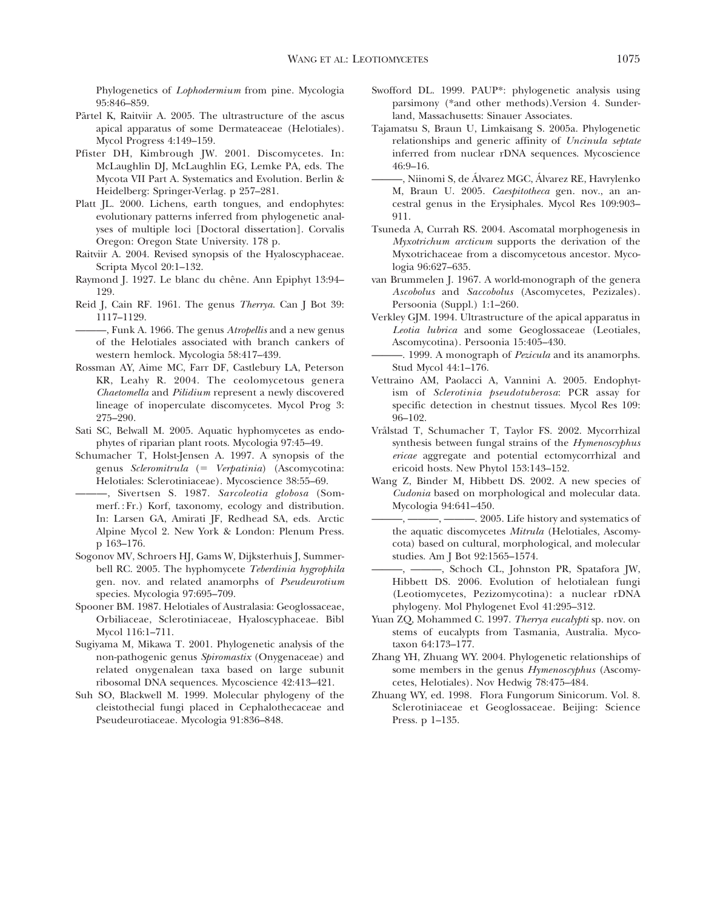Phylogenetics of Lophodermium from pine. Mycologia 95:846–859.

- Pärtel K, Raitviir A. 2005. The ultrastructure of the ascus apical apparatus of some Dermateaceae (Helotiales). Mycol Progress 4:149–159.
- Pfister DH, Kimbrough JW. 2001. Discomycetes. In: McLaughlin DJ, McLaughlin EG, Lemke PA, eds. The Mycota VII Part A. Systematics and Evolution. Berlin & Heidelberg: Springer-Verlag. p 257–281.
- Platt JL. 2000. Lichens, earth tongues, and endophytes: evolutionary patterns inferred from phylogenetic analyses of multiple loci [Doctoral dissertation]. Corvalis Oregon: Oregon State University. 178 p.
- Raitviir A. 2004. Revised synopsis of the Hyaloscyphaceae. Scripta Mycol 20:1–132.
- Raymond J. 1927. Le blanc du chêne. Ann Epiphyt 13:94-129.
- Reid J, Cain RF. 1961. The genus *Therrya*. Can J Bot 39: 1117–1129.
- -, Funk A. 1966. The genus Atropellis and a new genus of the Helotiales associated with branch cankers of western hemlock. Mycologia 58:417–439.
- Rossman AY, Aime MC, Farr DF, Castlebury LA, Peterson KR, Leahy R. 2004. The ceolomycetous genera Chaetomella and Pilidium represent a newly discovered lineage of inoperculate discomycetes. Mycol Prog 3: 275–290.
- Sati SC, Belwall M. 2005. Aquatic hyphomycetes as endophytes of riparian plant roots. Mycologia 97:45–49.
- Schumacher T, Holst-Jensen A. 1997. A synopsis of the genus Scleromitrula (= Verpatinia) (Ascomycotina: Helotiales: Sclerotiniaceae). Mycoscience 38:55–69.
- ———, Sivertsen S. 1987. Sarcoleotia globosa (Sommerf. : Fr.) Korf, taxonomy, ecology and distribution. In: Larsen GA, Amirati JF, Redhead SA, eds. Arctic Alpine Mycol 2. New York & London: Plenum Press. p 163–176.
- Sogonov MV, Schroers HJ, Gams W, Dijksterhuis J, Summerbell RC. 2005. The hyphomycete Teberdinia hygrophila gen. nov. and related anamorphs of Pseudeurotium species. Mycologia 97:695–709.
- Spooner BM. 1987. Helotiales of Australasia: Geoglossaceae, Orbiliaceae, Sclerotiniaceae, Hyaloscyphaceae. Bibl Mycol 116:1–711.
- Sugiyama M, Mikawa T. 2001. Phylogenetic analysis of the non-pathogenic genus Spiromastix (Onygenaceae) and related onygenalean taxa based on large subunit ribosomal DNA sequences. Mycoscience 42:413–421.
- Suh SO, Blackwell M. 1999. Molecular phylogeny of the cleistothecial fungi placed in Cephalothecaceae and Pseudeurotiaceae. Mycologia 91:836–848.
- Swofford DL. 1999. PAUP\*: phylogenetic analysis using parsimony (\*and other methods).Version 4. Sunderland, Massachusetts: Sinauer Associates.
- Tajamatsu S, Braun U, Limkaisang S. 2005a. Phylogenetic relationships and generic affinity of Uncinula septate inferred from nuclear rDNA sequences. Mycoscience 46:9–16.
- —, Niinomi S, de Álvarez MGC, Álvarez RE, Havrylenko M, Braun U. 2005. Caespitotheca gen. nov., an ancestral genus in the Erysiphales. Mycol Res 109:903– 911.
- Tsuneda A, Currah RS. 2004. Ascomatal morphogenesis in Myxotrichum arcticum supports the derivation of the Myxotrichaceae from a discomycetous ancestor. Mycologia 96:627–635.
- van Brummelen J. 1967. A world-monograph of the genera Ascobolus and Saccobolus (Ascomycetes, Pezizales). Persoonia (Suppl.) 1:1–260.
- Verkley GJM. 1994. Ultrastructure of the apical apparatus in Leotia lubrica and some Geoglossaceae (Leotiales, Ascomycotina). Persoonia 15:405–430.
- -. 1999. A monograph of *Pezicula* and its anamorphs. Stud Mycol 44:1–176.
- Vettraino AM, Paolacci A, Vannini A. 2005. Endophytism of Sclerotinia pseudotuberosa: PCR assay for specific detection in chestnut tissues. Mycol Res 109: 96–102.
- Vrålstad T, Schumacher T, Taylor FS. 2002. Mycorrhizal synthesis between fungal strains of the Hymenoscyphus ericae aggregate and potential ectomycorrhizal and ericoid hosts. New Phytol 153:143–152.
- Wang Z, Binder M, Hibbett DS. 2002. A new species of Cudonia based on morphological and molecular data. Mycologia 94:641–450.
- $-$ ,  $-$ ,  $-$ ,  $-$ ,  $-$ ,  $-$ ,  $2005$ . Life history and systematics of the aquatic discomycetes Mitrula (Helotiales, Ascomycota) based on cultural, morphological, and molecular studies. Am J Bot 92:1565–1574.
- -, --, Schoch CL, Johnston PR, Spatafora JW, Hibbett DS. 2006. Evolution of helotialean fungi (Leotiomycetes, Pezizomycotina): a nuclear rDNA phylogeny. Mol Phylogenet Evol 41:295–312.
- Yuan ZQ, Mohammed C. 1997. Therrya eucalypti sp. nov. on stems of eucalypts from Tasmania, Australia. Mycotaxon 64:173–177.
- Zhang YH, Zhuang WY. 2004. Phylogenetic relationships of some members in the genus Hymenoscyphus (Ascomycetes, Helotiales). Nov Hedwig 78:475–484.
- Zhuang WY, ed. 1998. Flora Fungorum Sinicorum. Vol. 8. Sclerotiniaceae et Geoglossaceae. Beijing: Science Press. p 1–135.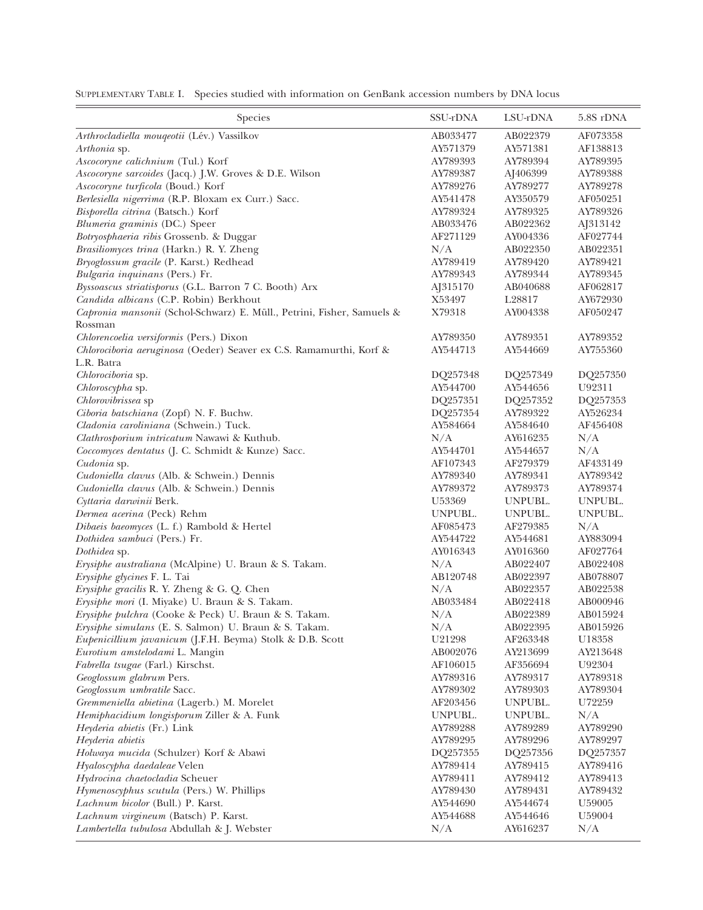| <b>Species</b>                                                         | SSU-rDNA | LSU-rDNA           | 5.8S rDNA          |
|------------------------------------------------------------------------|----------|--------------------|--------------------|
| Arthrocladiella mouqeotii (Lév.) Vassilkov                             | AB033477 | AB022379           | AF073358           |
| Arthonia sp.                                                           | AY571379 | AY571381           | AF138813           |
| Ascocoryne calichnium (Tul.) Korf                                      | AY789393 | AY789394           | AY789395           |
| Ascocoryne sarcoides (Jacq.) J.W. Groves & D.E. Wilson                 | AY789387 | AJ406399           | AY789388           |
| Ascocoryne turficola (Boud.) Korf                                      | AY789276 | AY789277           | AY789278           |
| Berlesiella nigerrima (R.P. Bloxam ex Curr.) Sacc.                     | AY541478 | AY350579           | AF050251           |
| Bisporella citrina (Batsch.) Korf                                      | AY789324 | AY789325           | AY789326           |
| Blumeria graminis (DC.) Speer                                          | AB033476 | AB022362           | AJ313142           |
| Botryosphaeria ribis Grossenb. & Duggar                                | AF271129 | AY004336           | AF027744           |
| Brasiliomyces trina (Harkn.) R. Y. Zheng                               | N/A      | AB022350           | AB022351           |
| Bryoglossum gracile (P. Karst.) Redhead                                | AY789419 | AY789420           | AY789421           |
| Bulgaria inquinans (Pers.) Fr.                                         | AY789343 | AY789344           | AY789345           |
| Byssoascus striatisporus (G.L. Barron 7 C. Booth) Arx                  | AJ315170 | AB040688           | AF062817           |
| Candida albicans (C.P. Robin) Berkhout                                 | X53497   | L <sub>28817</sub> | AY672930           |
| Capronia mansonii (Schol-Schwarz) E. Müll., Petrini, Fisher, Samuels & | X79318   | AY004338           | AF050247           |
| Rossman                                                                |          |                    |                    |
| Chlorencoelia versiformis (Pers.) Dixon                                | AY789350 | AY789351           | AY789352           |
| Chlorociboria aeruginosa (Oeder) Seaver ex C.S. Ramamurthi, Korf &     | AY544713 | AY544669           | AY755360           |
| L.R. Batra                                                             |          |                    |                    |
| Chlorociboria sp.                                                      | DQ257348 | DQ257349           | DQ257350           |
| Chloroscypha sp.                                                       | AY544700 | AY544656           | U92311             |
| Chlorovibrissea sp                                                     | DQ257351 | DQ257352           | DQ257353           |
| Ciboria batschiana (Zopf) N. F. Buchw.                                 | DQ257354 | AY789322           | AY526234           |
| Cladonia caroliniana (Schwein.) Tuck.                                  | AY584664 | AY584640           | AF456408           |
| Clathrosporium intricatum Nawawi & Kuthub.                             | N/A      | AY616235           | N/A                |
| Coccomyces dentatus (J. C. Schmidt & Kunze) Sacc.                      | AY544701 | AY544657           | N/A                |
| Cudonia sp.                                                            | AF107343 | AF279379           | AF433149           |
| Cudoniella clavus (Alb. & Schwein.) Dennis                             | AY789340 | AY789341           | AY789342           |
| Cudoniella clavus (Alb. & Schwein.) Dennis                             | AY789372 | AY789373           | AY789374           |
| Cyttaria darwinii Berk.                                                | U53369   | UNPUBL.            | UNPUBL.            |
| Dermea acerina (Peck) Rehm                                             | UNPUBL.  | UNPUBL.            | UNPUBL.            |
| Dibaeis baeomyces (L. f.) Rambold & Hertel                             | AF085473 | AF279385           | N/A                |
| Dothidea sambuci (Pers.) Fr.                                           | AY544722 | AY544681           | AY883094           |
| Dothidea sp.                                                           | AY016343 | AY016360           | AF027764           |
| Erysiphe australiana (McAlpine) U. Braun & S. Takam.                   | N/A      | AB022407           | AB022408           |
| Erysiphe glycines F. L. Tai                                            | AB120748 | AB022397           | AB078807           |
| Erysiphe gracilis R. Y. Zheng & G. Q. Chen                             | N/A      | AB022357           | AB022538           |
| Erysiphe mori (I. Miyake) U. Braun & S. Takam.                         | AB033484 | AB022418           | AB000946           |
| Erysiphe pulchra (Cooke & Peck) U. Braun & S. Takam.                   | N/A      | AB022389           | AB015924           |
| Erysiphe simulans (E. S. Salmon) U. Braun & S. Takam.                  | N/A      | AB022395           | AB015926           |
| Eupenicillium javanicum (J.F.H. Beyma) Stolk & D.B. Scott              | U21298   | AF263348           | U18358             |
| Eurotium amstelodami L. Mangin                                         | AB002076 | AY213699           | AY213648           |
| Fabrella tsugae (Farl.) Kirschst.                                      | AF106015 | AF356694           | U92304             |
| Geoglossum glabrum Pers.                                               | AY789316 | AY789317           | AY789318           |
| Geoglossum umbratile Sacc.                                             | AY789302 | AY789303           | AY789304           |
| Gremmeniella abietina (Lagerb.) M. Morelet                             | AF203456 | UNPUBL.            | U72259             |
| Hemiphacidium longisporum Ziller & A. Funk                             | UNPUBL.  | UNPUBL.            | N/A                |
| Heyderia abietis (Fr.) Link                                            | AY789288 | AY789289           | AY789290           |
| Heyderia abietis                                                       | AY789295 | AY789296           | AY789297           |
| Holwaya mucida (Schulzer) Korf & Abawi                                 | DO257355 | DQ257356           | DQ257357           |
| Hyaloscypha daedaleae Velen                                            | AY789414 | AY789415           | AY789416           |
| Hydrocina chaetocladia Scheuer                                         | AY789411 | AY789412           | AY789413           |
| Hymenoscyphus scutula (Pers.) W. Phillips                              | AY789430 | AY789431           | AY789432           |
| Lachnum bicolor (Bull.) P. Karst.                                      | AY544690 | AY544674           | U <sub>59005</sub> |
| Lachnum virgineum (Batsch) P. Karst.                                   | AY544688 | AY544646           | U <sub>59004</sub> |
| Lambertella tubulosa Abdullah & J. Webster                             | N/A      | AY616237           | N/A                |

SUPPLEMENTARY TABLE I. Species studied with information on GenBank accession numbers by DNA locus